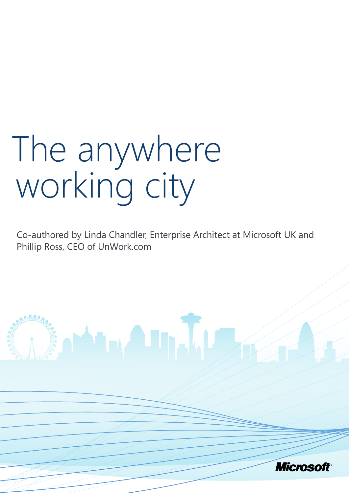# The anywhere working city

Co-authored by Linda Chandler, Enterprise Architect at Microsoft UK and Phillip Ross, CEO of UnWork.com

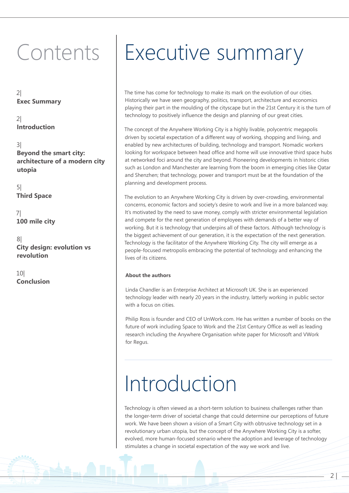2| **Exec Summary**

2| **Introduction**

3| **Beyond the smart city: architecture of a modern city utopia**

5| **Third Space**

7| **100 mile city**

8| **City design: evolution vs revolution**

10| **Conclusion**

### Contents | Executive summary

The time has come for technology to make its mark on the evolution of our cities. Historically we have seen geography, politics, transport, architecture and economics playing their part in the moulding of the cityscape but in the 21st Century it is the turn of technology to positively influence the design and planning of our great cities.

The concept of the Anywhere Working City is a highly livable, polycentric megapolis driven by societal expectation of a different way of working, shopping and living, and enabled by new architectures of building, technology and transport. Nomadic workers looking for workspace between head office and home will use innovative third space hubs at networked foci around the city and beyond. Pioneering developments in historic cities such as London and Manchester are learning from the boom in emerging cities like Qatar and Shenzhen; that technology, power and transport must be at the foundation of the planning and development process.

The evolution to an Anywhere Working City is driven by over-crowding, environmental concerns, economic factors and society's desire to work and live in a more balanced way. It's motivated by the need to save money, comply with stricter environmental legislation and compete for the next generation of employees with demands of a better way of working. But it is technology that underpins all of these factors. Although technology is the biggest achievement of our generation, it is the expectation of the next generation. Technology is the facilitator of the Anywhere Working City. The city will emerge as a people-focused metropolis embracing the potential of technology and enhancing the lives of its citizens.

#### **About the authors**

Linda Chandler is an Enterprise Architect at Microsoft UK. She is an experienced technology leader with nearly 20 years in the industry, latterly working in public sector with a focus on cities.

Philip Ross is founder and CEO of UnWork.com. He has written a number of books on the future of work including Space to Work and the 21st Century Office as well as leading research including the Anywhere Organisation white paper for Microsoft and VWork for Regus.

### Introduction

Technology is often viewed as a short-term solution to business challenges rather than the longer-term driver of societal change that could determine our perceptions of future work. We have been shown a vision of a Smart City with obtrusive technology set in a revolutionary urban utopia, but the concept of the Anywhere Working City is a softer, evolved, more human-focused scenario where the adoption and leverage of technology stimulates a change in societal expectation of the way we work and live.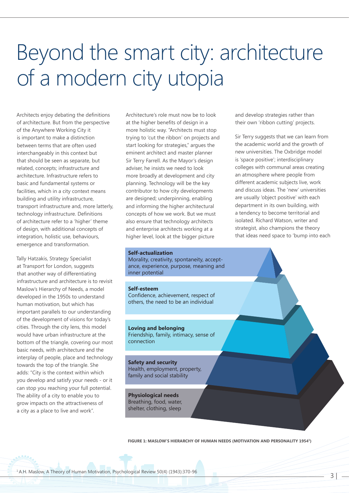# Beyond the smart city: architecture of a modern city utopia

Architects enjoy debating the definitions of architecture. But from the perspective of the Anywhere Working City it is important to make a distinction between terms that are often used interchangeably in this context but that should be seen as separate, but related, concepts; infrastructure and architecture. Infrastructure refers to basic and fundamental systems or facilities, which in a city context means building and utility infrastructure, transport infrastructure and, more latterly, technology infrastructure. Definitions of architecture refer to a 'higher' theme of design, with additional concepts of integration, holistic use, behaviours, emergence and transformation.

Tally Hatzakis, Strategy Specialist at Transport for London, suggests that another way of differentiating infrastructure and architecture is to revisit Maslow's Hierarchy of Needs, a model developed in the 1950s to understand human motivation, but which has important parallels to our understanding of the development of visions for today's cities. Through the city lens, this model would have urban infrastructure at the bottom of the triangle, covering our most basic needs, with architecture and the interplay of people, place and technology towards the top of the triangle. She adds: "City is the context within which you develop and satisfy your needs - or it can stop you reaching your full potential. The ability of a city to enable you to grow impacts on the attractiveness of a city as a place to live and work".

Architecture's role must now be to look at the higher benefits of design in a more holistic way. "Architects must stop trying to 'cut the ribbon' on projects and start looking for strategies," argues the eminent architect and master planner Sir Terry Farrell. As the Mayor's design adviser, he insists we need to look more broadly at development and city planning. Technology will be the key contributor to how city developments are designed; underpinning, enabling and informing the higher architectural concepts of how we work. But we must also ensure that technology architects and enterprise architects working at a higher level, look at the bigger picture

#### **Self-actualization**

Morality, creativity, spontaneity, acceptance, experience, purpose, meaning and inner potential

#### **Self-esteem**

Confidence, achievement, respect of others, the need to be an individual

### **Loving and belonging**

Friendship, family, intimacy, sense of connection

### **Safety and security**

Health, employment, property, family and social stability

**Physiological needs** Breathing, food, water, shelter, clothing, sleep

and develop strategies rather than their own 'ribbon cutting' projects.

Sir Terry suggests that we can learn from the academic world and the growth of new universities. The Oxbridge model is 'space positive'; interdisciplinary colleges with communal areas creating an atmosphere where people from different academic subjects live, work and discuss ideas. The 'new' universities are usually 'object positive' with each department in its own building, with a tendency to become territorial and isolated. Richard Watson, writer and strategist, also champions the theory that ideas need space to 'bump into each

 $3<sup>1</sup>$ 

#### **Figure 1: Maslow's Hierarchy of Human Needs (Motivation and Personality 19541)**

1 A.H. Maslow, A Theory of Human Motivation, Psychological Review 50(4) (1943):370-96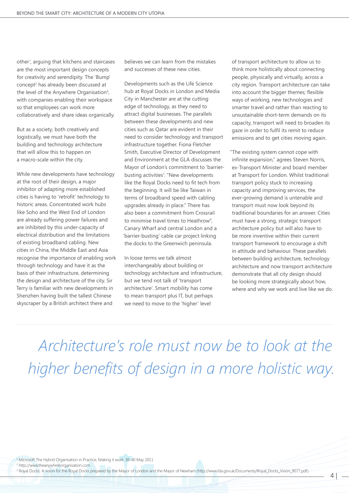other', arguing that kitchens and staircases are the most important design concepts for creativity and serendipity. The 'Bump' concept<sup>2</sup> has already been discussed at the level of the Anywhere Organisation<sup>3</sup>, with companies enabling their workspace so that employees can work more collaboratively and share ideas organically.

But as a society, both creatively and logistically, we must have both the building and technology architecture that will allow this to happen on a macro-scale within the city.

While new developments have technology at the root of their design, a major inhibitor of adapting more established cities is having to 'retrofit' technology to historic areas. Concentrated work hubs like Soho and the West End of London are already suffering power failures and are inhibited by this under-capacity of electrical distribution and the limitations of existing broadband cabling. New cities in China, the Middle East and Asia recognise the importance of enabling work through technology and have it as the basis of their infrastructure, determining the design and architecture of the city. Sir Terry is familiar with new developments in Shenzhen having built the tallest Chinese skyscraper by a British architect there and

believes we can learn from the mistakes and successes of these new cities.

Developments such as the Life Science hub at Royal Docks in London and Media City in Manchester are at the cutting edge of technology, as they need to attract digital businesses. The parallels between these developments and new cities such as Qatar are evident in their need to consider technology and transport infrastructure together. Fiona Fletcher Smith, Executive Director of Development and Environment at the GLA discusses the Mayor of London's commitment to 'barrierbusting activities': "New developments like the Royal Docks need to fit tech from the beginning. It will be like Taiwan in terms of broadband speed with cabling upgrades already in place." There has also been a commitment from Crossrail to minimise travel times to Heathrow<sup>4</sup>, Canary Wharf and central London and a 'barrier-busting' cable car project linking the docks to the Greenwich peninsula.

In loose terms we talk almost interchangeably about building or technology architecture and infrastructure, but we tend not talk of 'transport architecture'. Smart mobility has come to mean transport plus IT, but perhaps we need to move to the 'higher' level

of transport architecture to allow us to think more holistically about connecting people, physically and virtually, across a city region. Transport architecture can take into account the bigger themes; flexible ways of working, new technologies and smarter travel and rather than reacting to unsustainable short-term demands on its capacity, transport will need to broaden its gaze in order to fulfil its remit to reduce emissions and to get cities moving again.

"The existing system cannot cope with infinite expansion," agrees Steven Norris, ex-Transport Minister and board member at Transport for London. Whilst traditional transport policy stuck to increasing capacity and improving services, the ever-growing demand is untenable and transport must now look beyond its traditional boundaries for an answer. Cities must have a strong, strategic transport architecture policy but will also have to be more inventive within their current transport framework to encourage a shift in attitude and behaviour. These parallels between building architecture, technology architecture and now transport architecture demonstrate that all city design should be looking more strategically about how, where and why we work and live like we do.

*Architecture's role must now be to look at the higher benefits of design in a more holistic way.* 

2 Microsoft The Hybrid Organisation in Practice, Making it work: 36-40 May 2011

3 http://www.theanywhereorganisation.com

4 Royal Docks: A vision for the Royal Docks prepared by the Mayor of London and the Mayor of Newham (http://www.lda.gov.uk/Documents/Royal\_Docks\_Vision\_9077.pdf)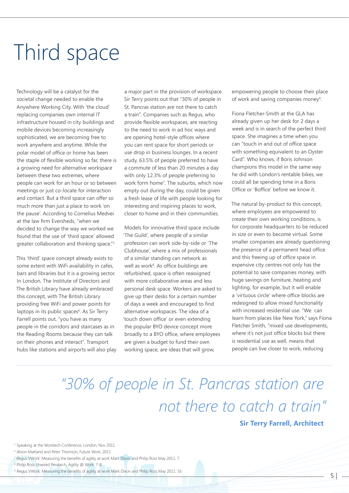# Third space

Technology will be a catalyst for the societal change needed to enable the Anywhere Working City. With 'the cloud' replacing companies own internal IT infrastructure housed in city buildings and mobile devices becoming increasingly sophisticated, we are becoming free to work anywhere and anytime. While the polar model of office or home has been the staple of flexible working so far, there is a growing need for alternative workspace between these two extremes, where people can work for an hour or so between meetings or just co-locate for interaction and contact. But a third space can offer so much more than just a place to work 'on the pause'. According to Cornelius Medvei at the law firm Eversheds, "when we decided to change the way we worked we found that the use of 'third space' allowed greater collaboration and thinking space."5

This 'third' space concept already exists to some extent with WiFi availability in cafes, bars and libraries but it is a growing sector. In London, The Institute of Directors and The British Library have already embraced this concept, with The British Library providing free WiFi and power points for laptops in its public spaces<sup>6</sup>. As Sir Terry Farrell points out, "you have as many people in the corridors and staircases as in the Reading Rooms because they can talk on their phones and interact". Transport hubs like stations and airports will also play a major part in the provision of workspace. Sir Terry points out that "30% of people in St. Pancras station are not there to catch a train". Companies such as Regus, who provide flexible workspaces, are reacting to the need to work in ad hoc ways and are opening hotel-style offices where you can rent space for short periods or use drop in business lounges. In a recent study, 63.5% of people preferred to have a commute of less than 20 minutes a day with only 12.3% of people preferring to work form home7 . The suburbs, which now empty out during the day, could be given a fresh lease of life with people looking for interesting and inspiring places to work, closer to home and in their communities.

Models for innovative third space include 'The Guild', where people of a similar profession can work side-by-side or 'The Clubhouse', where a mix of professionals of a similar standing can network as well as work<sup>8</sup>. As office buildings are refurbished, space is often reassigned with more collaborative areas and less personal desk space. Workers are asked to give up their desks for a certain number of days a week and encouraged to find alternative workspaces. The idea of a 'touch down office' or even extending the popular BYO device concept more broadly to a BYO office, where employees are given a budget to fund their own working space, are ideas that will grow,

empowering people to choose their place of work and saving companies money<sup>9</sup>.

Fiona Fletcher-Smith at the GLA has already given up her desk for 2 days a week and is in search of the perfect third space. She imagines a time when you can "touch in and out of office space with something equivalent to an Oyster Card". Who knows, if Boris Johnson champions this model in the same way he did with London's rentable bikes, we could all be spending time in a Boris Office or 'Boffice' before we know it.

The natural by-product to this concept, where employees are empowered to create their own working conditions, is for corporate headquarters to be reduced in size or even to become virtual. Some smaller companies are already questioning the presence of a permanent head office and this freeing up of office space in expensive city centres not only has the potential to save companies money, with huge savings on furniture, heating and lighting, for example, but it will enable a 'virtuous circle' where office blocks are redesigned to allow mixed functionality with increased residential use. "We can learn from places like New York," says Fiona Fletcher Smith, "mixed use developments, where it's not just office blocks but there is residential use as well, means that people can live closer to work, reducing

### *"30% of people in St. Pancras station are not there to catch a train"*

#### **Sir Terry Farrell, Architect**

 $5 -$ 

<sup>5</sup> Speaking at the Worktech Conference, London, Nov 2011

6 Alison Maitland and Peter Thomson, Future Work, 2011

- 8 Philip Ross Unwired Research, Agility @ Work: 7-8
- 9 Regus VWork: Measuring the benefits of agility at work Mark Dixon and Philip Ross May 2011: 16

<sup>7</sup> Regus VWork: Measuring the benefits of agility at work Mark Dixon and Philip Ross May 2011: 7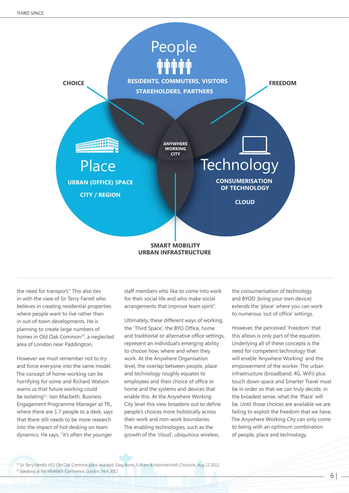

#### **SMART MOBILITY URBAN INFRASTRUCTURE**

the need for transport." This also ties in with the view of Sir Terry Farrell who believes in creating residential properties where people want to live rather than in out-of-town developments. He is planning to create large numbers of homes in Old Oak Common<sup>10</sup>, a neglected area of London near Paddington.

However we must remember not to try and force everyone into the same model. The concept of home-working can be horrifying for some and Richard Watson warns us that future working could be isolating<sup>11</sup>. Iain Macbeth, Business Engagement Programme Manager at TfL, where there are 1.7 people to a desk, says that there still needs to be more research into the impact of hot-desking on team dynamics. He says, "it's often the younger

staff members who like to come into work for their social life and who make social arrangements that improve team spirit".

Ultimately, these different ways of working, the 'Third Space', the BYO Office, home and traditional or alternative office settings, represent an individual's emerging ability to choose how, where and when they work. At the Anywhere Organisation level, the overlap between people, place and technology roughly equates to employees and their choice of office or home and the systems and devices that enable this. At the Anywhere Working City level this view broadens out to define people's choices more holistically across their work and non-work boundaries. The enabling technologies, such as the growth of the 'cloud', ubiquitous wireless,

the consumerisation of technology and BYOD (bring your own device) extends the 'place' where you can work to numerous 'out of office' settings.

However, the perceived 'Freedom' that this allows is only part of the equation. Underlying all of these concepts is the need for competent technology that will enable 'Anywhere Working' and the empowerment of the worker. The urban infrastructure (broadband, 4G, WiFi) plus touch down space and Smarter Travel must be in order so that we can truly decide, in the broadest sense, what the 'Place' will be. Until those choices are available we are failing to exploit the freedom that we have. The Anywhere Working City can only come to being with an optimum combination of people, place and technology.

<sup>10</sup> Sir Terry Farrell's HS2 Old Oak Common plans revealed, Greg Burns, Fulham & Hammersmith Chronicle, Aug 12 2011

<sup>11</sup> Speaking at the Worktech Conference, London, Nov 2011

6 |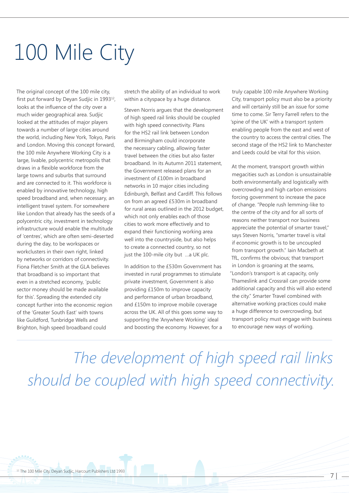# 100 Mile City

The original concept of the 100 mile city, first put forward by Deyan Sudjic in 1993<sup>12</sup>, looks at the influence of the city over a much wider geographical area. Sudjic looked at the attitudes of major players towards a number of large cities around the world, including New York, Tokyo, Paris and London. Moving this concept forward, the 100 mile Anywhere Working City is a large, livable, polycentric metropolis that draws in a flexible workforce from the large towns and suburbs that surround and are connected to it. This workforce is enabled by innovative technology, high speed broadband and, when necessary, an intelligent travel system. For somewhere like London that already has the seeds of a polycentric city, investment in technology infrastructure would enable the multitude of 'centres', which are often semi-deserted during the day, to be workspaces or workclusters in their own right, linked by networks or corridors of connectivity. Fiona Fletcher Smith at the GLA believes that broadband is so important that even in a stretched economy, 'public sector money should be made available for this'. Spreading the extended city concept further into the economic region of the 'Greater South East' with towns like Guildford, Tunbridge Wells and Brighton, high speed broadband could

stretch the ability of an individual to work within a cityspace by a huge distance.

Steven Norris argues that the development of high speed rail links should be coupled with high speed connectivity. Plans for the HS2 rail link between London and Birmingham could incorporate the necessary cabling, allowing faster travel between the cities but also faster broadband. In its Autumn 2011 statement, the Government released plans for an investment of £100m in broadband networks in 10 major cities including Edinburgh, Belfast and Cardiff. This follows on from an agreed £530m in broadband for rural areas outlined in the 2012 budget, which not only enables each of those cities to work more effectively and to expand their functioning working area well into the countryside, but also helps to create a connected country, so not just the 100-mile city but …a UK plc.

In addition to the £530m Government has invested in rural programmes to stimulate private investment, Government is also providing £150m to improve capacity and performance of urban broadband, and £150m to improve mobile coverage across the UK. All of this goes some way to supporting the 'Anywhere Working' ideal and boosting the economy. However, for a

truly capable 100 mile Anywhere Working City, transport policy must also be a priority and will certainly still be an issue for some time to come. Sir Terry Farrell refers to the 'spine of the UK' with a transport system enabling people from the east and west of the country to access the central cities. The second stage of the HS2 link to Manchester and Leeds could be vital for this vision.

At the moment, transport growth within megacities such as London is unsustainable both environmentally and logistically with overcrowding and high carbon emissions forcing government to increase the pace of change. "People rush lemming-like to the centre of the city and for all sorts of reasons neither transport nor business appreciate the potential of smarter travel," says Steven Norris, "smarter travel is vital if economic growth is to be uncoupled from transport growth." Iain Macbeth at TfL, confirms the obvious; that transport in London is groaning at the seams, "London's transport is at capacity, only Thameslink and Crossrail can provide some additional capacity and this will also extend the city." Smarter Travel combined with alternative working practices could make a huge difference to overcrowding, but transport policy must engage with business to encourage new ways of working.

*The development of high speed rail links should be coupled with high speed connectivity.*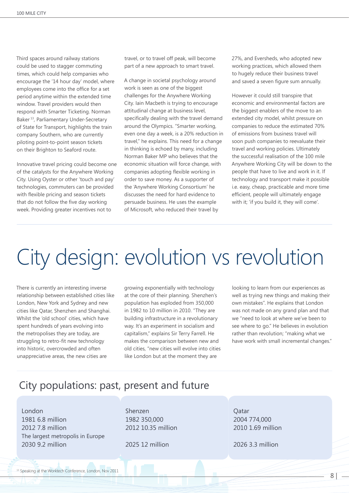Third spaces around railway stations could be used to stagger commuting times, which could help companies who encourage the '14 hour day' model, where employees come into the office for a set period anytime within the extended time window. Travel providers would then respond with Smarter Ticketing. Norman Baker 13, Parliamentary Under-Secretary of State for Transport, highlights the train company Southern, who are currently piloting point-to-point season tickets on their Brighton to Seaford route.

Innovative travel pricing could become one of the catalysts for the Anywhere Working City. Using Oyster or other 'touch and pay' technologies, commuters can be provided with flexible pricing and season tickets that do not follow the five day working week. Providing greater incentives not to

travel, or to travel off peak, will become part of a new approach to smart travel.

A change in societal psychology around work is seen as one of the biggest challenges for the Anywhere Working City. Iain Macbeth is trying to encourage attitudinal change at business level, specifically dealing with the travel demand around the Olympics. "Smarter working, even one day a week, is a 20% reduction in travel," he explains. This need for a change in thinking is echoed by many, including Norman Baker MP who believes that the economic situation will force change, with companies adopting flexible working in order to save money. As a supporter of the 'Anywhere Working Consortium' he discusses the need for hard evidence to persuade business. He uses the example of Microsoft, who reduced their travel by

27%, and Eversheds, who adopted new working practices, which allowed them to hugely reduce their business travel and saved a seven figure sum annually.

However it could still transpire that economic and environmental factors are the biggest enablers of the move to an extended city model, whilst pressure on companies to reduce the estimated 70% of emissions from business travel will soon push companies to reevaluate their travel and working policies. Ultimately the successful realisation of the 100 mile Anywhere Working City will be down to the people that have to live and work in it. If technology and transport make it possible i.e. easy, cheap, practicable and more time efficient, people will ultimately engage with it; 'if you build it, they will come'.

## City design: evolution vs revolution

There is currently an interesting inverse relationship between established cities like London, New York and Sydney and new cities like Qatar, Shenzhen and Shanghai. Whilst the 'old school' cities, which have spent hundreds of years evolving into the metropolises they are today, are struggling to retro-fit new technology into historic, overcrowded and often unappreciative areas, the new cities are

growing exponentially with technology at the core of their planning. Shenzhen's population has exploded from 350,000 in 1982 to 10 million in 2010. "They are building infrastructure in a revolutionary way. It's an experiment in socialism and capitalism," explains Sir Terry Farrell. He makes the comparison between new and old cities, "new cities will evolve into cities like London but at the moment they are

looking to learn from our experiences as well as trying new things and making their own mistakes". He explains that London was not made on any grand plan and that we "need to look at where we've been to see where to go." He believes in evolution rather than revolution; "making what we have work with small incremental changes."

### City populations: past, present and future

London 1981 6.8 million 2012 7.8 million The largest metropolis in Europe 2030 9.2 million

Shenzen 1982 350,000 2012 10.35 million

2025 12 million

Qatar 2004 774,000 2010 1.69 million

2026 3.3 million

<sup>13</sup> Speaking at the Worktech Conference, London, Nov 2011

8 |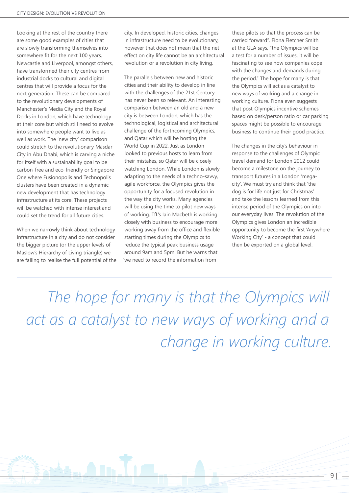Looking at the rest of the country there are some good examples of cities that are slowly transforming themselves into somewhere fit for the next 100 years. Newcastle and Liverpool, amongst others, have transformed their city centres from industrial docks to cultural and digital centres that will provide a focus for the next generation. These can be compared to the revolutionary developments of Manchester's Media City and the Royal Docks in London, which have technology at their core but which still need to evolve into somewhere people want to live as well as work. The 'new city' comparison could stretch to the revolutionary Masdar City in Abu Dhabi, which is carving a niche for itself with a sustainability goal to be carbon-free and eco-friendly or Singapore One where Fusionopolis and Technopolis clusters have been created in a dynamic new development that has technology infrastructure at its core. These projects will be watched with intense interest and could set the trend for all future cities.

When we narrowly think about technology infrastructure in a city and do not consider the bigger picture (or the upper levels of Maslow's Hierarchy of Living triangle) we are failing to realise the full potential of the city. In developed, historic cities, changes in infrastructure need to be evolutionary, however that does not mean that the net effect on city life cannot be an architectural revolution or a revolution in city living.

The parallels between new and historic cities and their ability to develop in line with the challenges of the 21st Century has never been so relevant. An interesting comparison between an old and a new city is between London, which has the technological, logistical and architectural challenge of the forthcoming Olympics, and Qatar which will be hosting the World Cup in 2022. Just as London looked to previous hosts to learn from their mistakes, so Qatar will be closely watching London. While London is slowly adapting to the needs of a techno-savvy, agile workforce, the Olympics gives the opportunity for a focused revolution in the way the city works. Many agencies will be using the time to pilot new ways of working. TfL's Iain Macbeth is working closely with business to encourage more working away from the office and flexible starting times during the Olympics to reduce the typical peak business usage around 9am and 5pm. But he warns that "we need to record the information from

these pilots so that the process can be carried forward". Fiona Fletcher Smith at the GLA says, "the Olympics will be a test for a number of issues, it will be fascinating to see how companies cope with the changes and demands during the period." The hope for many is that the Olympics will act as a catalyst to new ways of working and a change in working culture. Fiona even suggests that post-Olympics incentive schemes based on desk/person ratio or car parking spaces might be possible to encourage business to continue their good practice.

The changes in the city's behaviour in response to the challenges of Olympic travel demand for London 2012 could become a milestone on the journey to transport futures in a London 'megacity'. We must try and think that 'the dog is for life not just for Christmas' and take the lessons learned from this intense period of the Olympics on into our everyday lives. The revolution of the Olympics gives London an incredible opportunity to become the first 'Anywhere Working City' - a concept that could then be exported on a global level.

 *The hope for many is that the Olympics will*  act as a catalyst to new ways of working and a *change in working culture.*